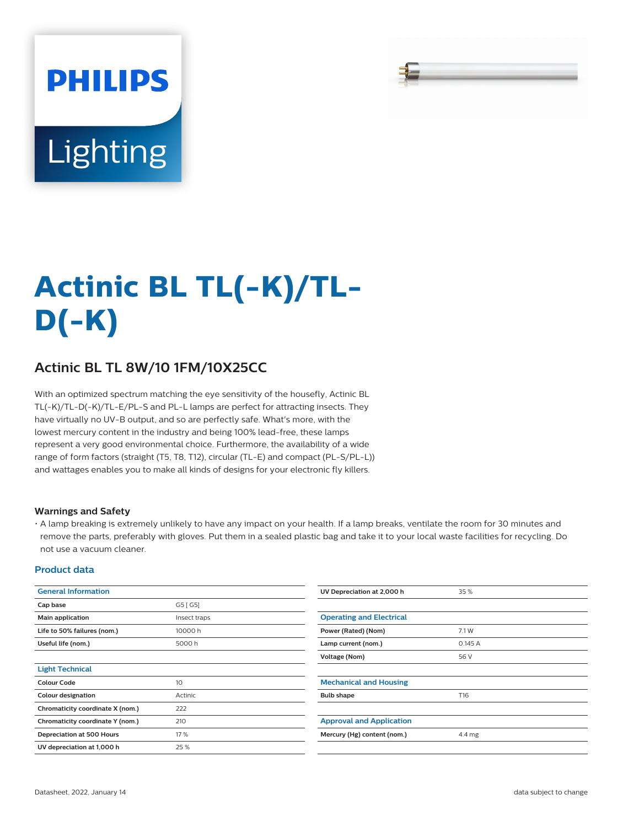# **PHILIPS** Lighting

# **Actinic BL TL(-K)/TL-D(-K)**

## **Actinic BL TL 8W/10 1FM/10X25CC**

With an optimized spectrum matching the eye sensitivity of the housefly, Actinic BL TL(-K)/TL-D(-K)/TL-E/PL-S and PL-L lamps are perfect for attracting insects. They have virtually no UV-B output, and so are perfectly safe. What's more, with the lowest mercury content in the industry and being 100% lead-free, these lamps represent a very good environmental choice. Furthermore, the availability of a wide range of form factors (straight (T5, T8, T12), circular (TL-E) and compact (PL-S/PL-L)) and wattages enables you to make all kinds of designs for your electronic fly killers.

#### **Warnings and Safety**

• A lamp breaking is extremely unlikely to have any impact on your health. If a lamp breaks, ventilate the room for 30 minutes and remove the parts, preferably with gloves. Put them in a sealed plastic bag and take it to your local waste facilities for recycling. Do not use a vacuum cleaner.

#### **Product data**

| <b>General Information</b>       |              | UV Depreciation at 2,000 h      | 35%    |  |  |
|----------------------------------|--------------|---------------------------------|--------|--|--|
| Cap base                         | G5 [G5]      |                                 |        |  |  |
| Main application                 | Insect traps | <b>Operating and Electrical</b> |        |  |  |
| Life to 50% failures (nom.)      | 10000h       | Power (Rated) (Nom)             | 7.1 W  |  |  |
| Useful life (nom.)               | 5000h        | Lamp current (nom.)             | 0.145A |  |  |
|                                  |              | <b>Voltage (Nom)</b>            | 56 V   |  |  |
| <b>Light Technical</b>           |              |                                 |        |  |  |
| <b>Colour Code</b>               | 10           | <b>Mechanical and Housing</b>   |        |  |  |
| <b>Colour designation</b>        | Actinic      | <b>Bulb shape</b>               | T16    |  |  |
| Chromaticity coordinate X (nom.) | 222          |                                 |        |  |  |
| Chromaticity coordinate Y (nom.) | 210          | <b>Approval and Application</b> |        |  |  |
| Depreciation at 500 Hours        | 17 %         | Mercury (Hg) content (nom.)     | 4.4 mg |  |  |
| UV depreciation at 1,000 h       | 25 %         |                                 |        |  |  |
|                                  |              |                                 |        |  |  |